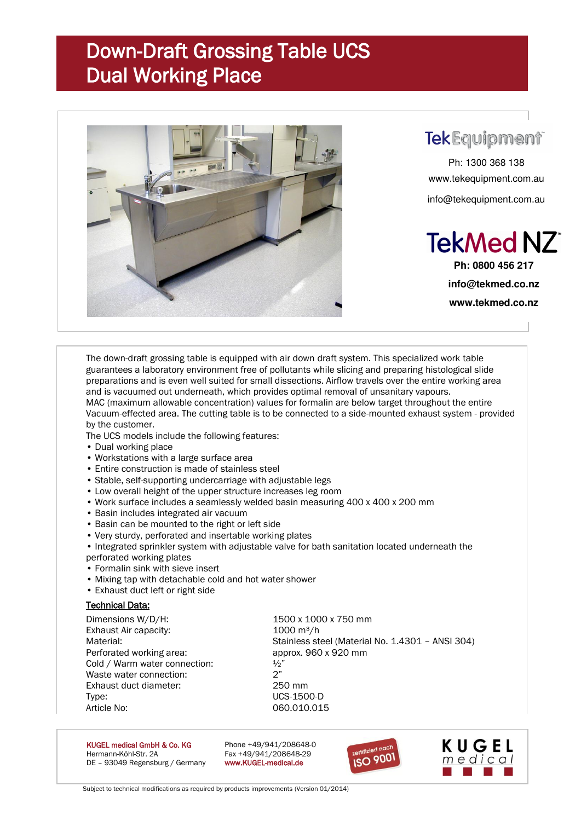## Down-Draft Grossing Table UCS Dual Working Place



**TekEquipment** 

Ph: 1300 368 138 www.tekequipment.com.au info@tekequipment.com.au

# **TekMed NZ**

**Ph: 0800 456 217 info@tekmed.co.nz www.tekmed.co.nz** 

The down-draft grossing table is equipped with air down draft system. This specialized work table guarantees a laboratory environment free of pollutants while slicing and preparing histological slide preparations and is even well suited for small dissections. Airflow travels over the entire working area and is vacuumed out underneath, which provides optimal removal of unsanitary vapours. MAC (maximum allowable concentration) values for formalin are below target throughout the entire Vacuum-effected area. The cutting table is to be connected to a side-mounted exhaust system - provided by the customer.

The UCS models include the following features:

- Dual working place
- Workstations with a large surface area
- Entire construction is made of stainless steel
- Stable, self-supporting undercarriage with adjustable legs
- Low overall height of the upper structure increases leg room
- Work surface includes a seamlessly welded basin measuring 400 x 400 x 200 mm
- Basin includes integrated air vacuum
- Basin can be mounted to the right or left side
- Very sturdy, perforated and insertable working plates
- Integrated sprinkler system with adjustable valve for bath sanitation located underneath the perforated working plates
- Formalin sink with sieve insert
- Mixing tap with detachable cold and hot water shower
- Exhaust duct left or right side

#### **Technical Data:**

Dimensions W/D/H: 1500 x 1000 x 750 mm Exhaust Air capacity: 1000 m<sup>3</sup>/h Perforated working area: approx. 960 x 920 mm Cold / Warm water connection:  $\frac{1}{2}$ " Waste water connection:  $2<sup>n</sup>$ Exhaust duct diameter: 250 mm Type: UCS-1500-D Article No: 060.010.015

Material: Material: Stainless steel (Material No. 1.4301 – ANSI 304)

KUGEL medical GmbH & Co. KG Phone +49/941/208648-0 Hermann-Köhl-Str. 2A Fax +49/941/208648-29 DE - 93049 Regensburg / Germany www.KUGEL-medical.de





Subject to technical modifications as required by products improvements (Version 01/2014)